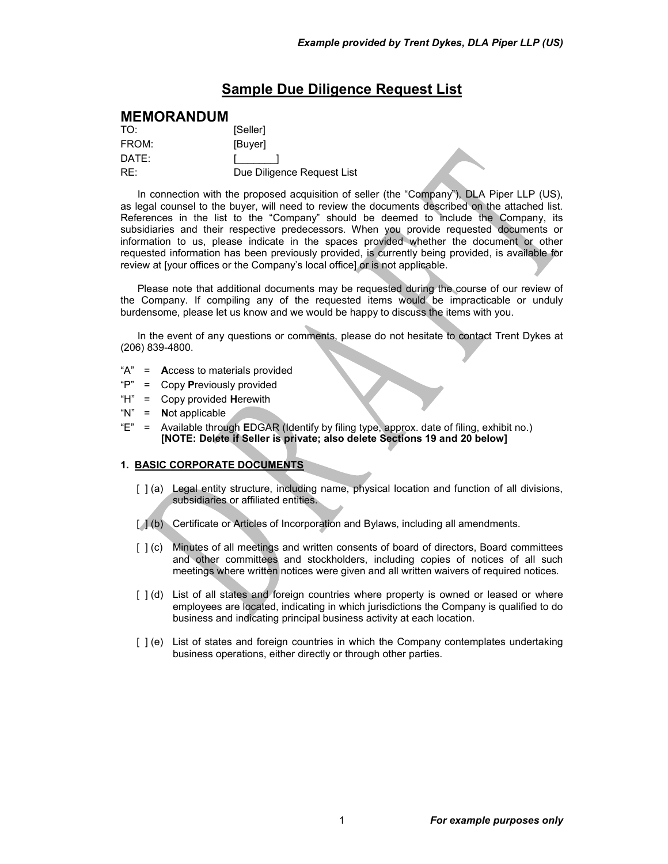# **Sample Due Diligence Request List**

# **MEMORANDUM**

| TO:   | [Seller]                   |
|-------|----------------------------|
| FROM: | [Buyer]                    |
| DATF: |                            |
| RE:   | Due Diligence Request List |

In connection with the proposed acquisition of seller (the "Company"), DLA Piper LLP (US), as legal counsel to the buyer, will need to review the documents described on the attached list. References in the list to the "Company" should be deemed to include the Company, its subsidiaries and their respective predecessors. When you provide requested documents or information to us, please indicate in the spaces provided whether the document or other requested information has been previously provided, is currently being provided, is available for review at [your offices or the Company's local office] or is not applicable.

Please note that additional documents may be requested during the course of our review of the Company. If compiling any of the requested items would be impracticable or unduly burdensome, please let us know and we would be happy to discuss the items with you.

In the event of any questions or comments, please do not hesitate to contact Trent Dykes at (206) 839-4800.

- "A" = **A**ccess to materials provided
- "P" = Copy **P**reviously provided
- "H" = Copy provided **H**erewith
- "N" = **N**ot applicable
- "E" = Available through **E**DGAR (Identify by filing type, approx. date of filing, exhibit no.) **[NOTE: Delete if Seller is private; also delete Sections 19 and 20 below]**

## **1. BASIC CORPORATE DOCUMENTS**

- [ ] (a) Legal entity structure, including name, physical location and function of all divisions, subsidiaries or affiliated entities.
- [ $1(b)$  Certificate or Articles of Incorporation and Bylaws, including all amendments.
- [ ] (c) Minutes of all meetings and written consents of board of directors, Board committees and other committees and stockholders, including copies of notices of all such meetings where written notices were given and all written waivers of required notices.
- [ ] (d) List of all states and foreign countries where property is owned or leased or where employees are located, indicating in which jurisdictions the Company is qualified to do business and indicating principal business activity at each location.
- [ ] (e) List of states and foreign countries in which the Company contemplates undertaking business operations, either directly or through other parties.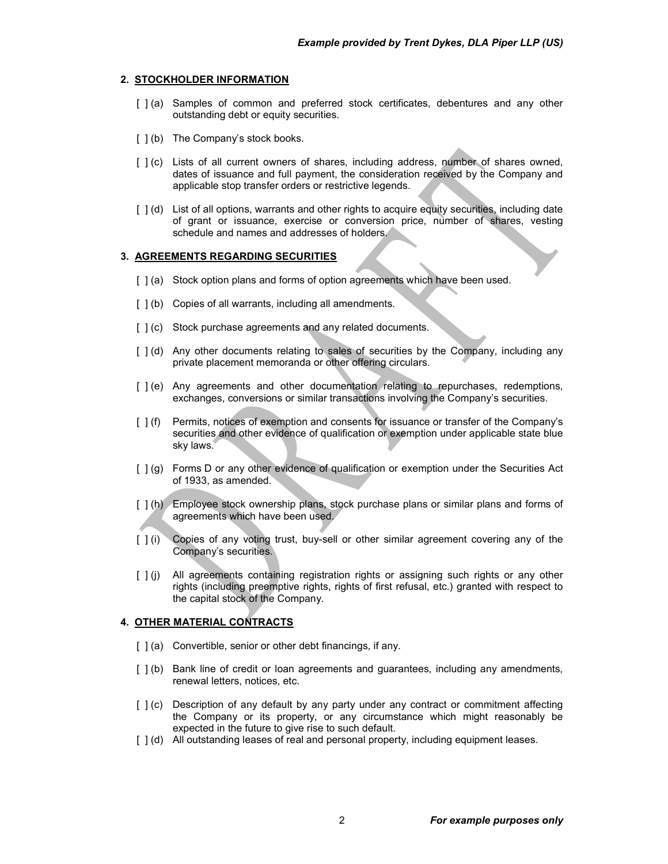#### **2. STOCKHOLDER INFORMATION**

- [ ] (a) Samples of common and preferred stock certificates, debentures and any other outstanding debt or equity securities.
- [  $|$  (b) The Company's stock books.
- [ ] (c) Lists of all current owners of shares, including address, number of shares owned, dates of issuance and full payment, the consideration received by the Company and applicable stop transfer orders or restrictive legends.
- [ ] (d) List of all options, warrants and other rights to acquire equity securities, including date of grant or issuance, exercise or conversion price, number of shares, vesting schedule and names and addresses of holders.

# **3. AGREEMENTS REGARDING SECURITIES**

- [ ] (a) Stock option plans and forms of option agreements which have been used.
- [  $|$  (b) Copies of all warrants, including all amendments.
- [  $1$  (c) Stock purchase agreements and any related documents.
- [ ] (d) Any other documents relating to sales of securities by the Company, including any private placement memoranda or other offering circulars.
- [ ] (e) Any agreements and other documentation relating to repurchases, redemptions, exchanges, conversions or similar transactions involving the Company's securities.
- [ ] (f) Permits, notices of exemption and consents for issuance or transfer of the Company's securities and other evidence of qualification or exemption under applicable state blue sky laws.
- [  $|$  (g) Forms D or any other evidence of qualification or exemption under the Securities Act of 1933, as amended.
- [ ] (h) Employee stock ownership plans, stock purchase plans or similar plans and forms of agreements which have been used.
- [ ] (i) Copies of any voting trust, buy-sell or other similar agreement covering any of the Company's securities.
- [ ] (j) All agreements containing registration rights or assigning such rights or any other rights (including preemptive rights, rights of first refusal, etc.) granted with respect to the capital stock of the Company.

### **4. OTHER MATERIAL CONTRACTS**

- [  $| (a)$  Convertible, senior or other debt financings, if any.
- [ ] (b) Bank line of credit or loan agreements and guarantees, including any amendments, renewal letters, notices, etc.
- [ ] (c) Description of any default by any party under any contract or commitment affecting the Company or its property, or any circumstance which might reasonably be expected in the future to give rise to such default.
- [  $1(d)$  All outstanding leases of real and personal property, including equipment leases.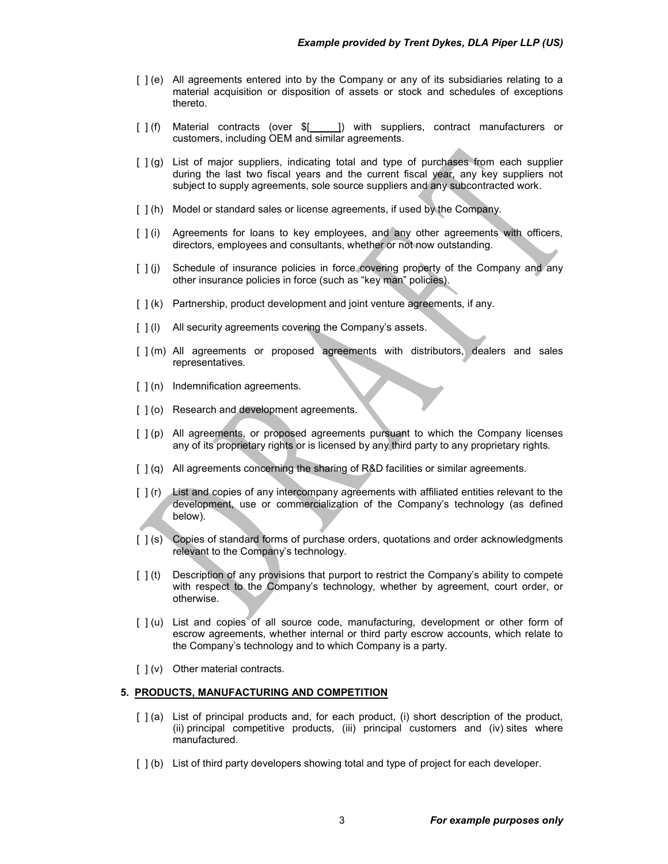- [ ] (e) All agreements entered into by the Company or any of its subsidiaries relating to a material acquisition or disposition of assets or stock and schedules of exceptions thereto.
- [ ] (f) Material contracts (over \$[ ] ]) with suppliers, contract manufacturers or customers, including OEM and similar agreements.
- [  $j$  (g) List of major suppliers, indicating total and type of purchases from each supplier during the last two fiscal years and the current fiscal year, any key suppliers not subject to supply agreements, sole source suppliers and any subcontracted work.
- [ ] (h) Model or standard sales or license agreements, if used by the Company.
- [ ] (i) Agreements for loans to key employees, and any other agreements with officers, directors, employees and consultants, whether or not now outstanding.
- [  $\vert$  (j) Schedule of insurance policies in force covering property of the Company and any other insurance policies in force (such as "key man" policies).
- [ ] (k) Partnership, product development and joint venture agreements, if any.
- [  $1$  (I) All security agreements covering the Company's assets.
- [ ] (m) All agreements or proposed agreements with distributors, dealers and sales representatives.
- [ ] (n) Indemnification agreements.
- [  $|$  (o) Research and development agreements.
- [ ] (p) All agreements, or proposed agreements pursuant to which the Company licenses any of its proprietary rights or is licensed by any third party to any proprietary rights.
- [ ] (q) All agreements concerning the sharing of R&D facilities or similar agreements.
- [ ] (r) List and copies of any intercompany agreements with affiliated entities relevant to the development, use or commercialization of the Company's technology (as defined below).
- [ ] (s) Copies of standard forms of purchase orders, quotations and order acknowledgments relevant to the Company's technology.
- [ ] (t) Description of any provisions that purport to restrict the Company's ability to compete with respect to the Company's technology, whether by agreement, court order, or otherwise.
- [ ] (u) List and copies of all source code, manufacturing, development or other form of escrow agreements, whether internal or third party escrow accounts, which relate to the Company's technology and to which Company is a party.
- [ ] (v) Other material contracts.

### **5. PRODUCTS, MANUFACTURING AND COMPETITION**

- [ ] (a) List of principal products and, for each product, (i) short description of the product, (ii) principal competitive products, (iii) principal customers and (iv) sites where manufactured.
- [  $|$  (b) List of third party developers showing total and type of project for each developer.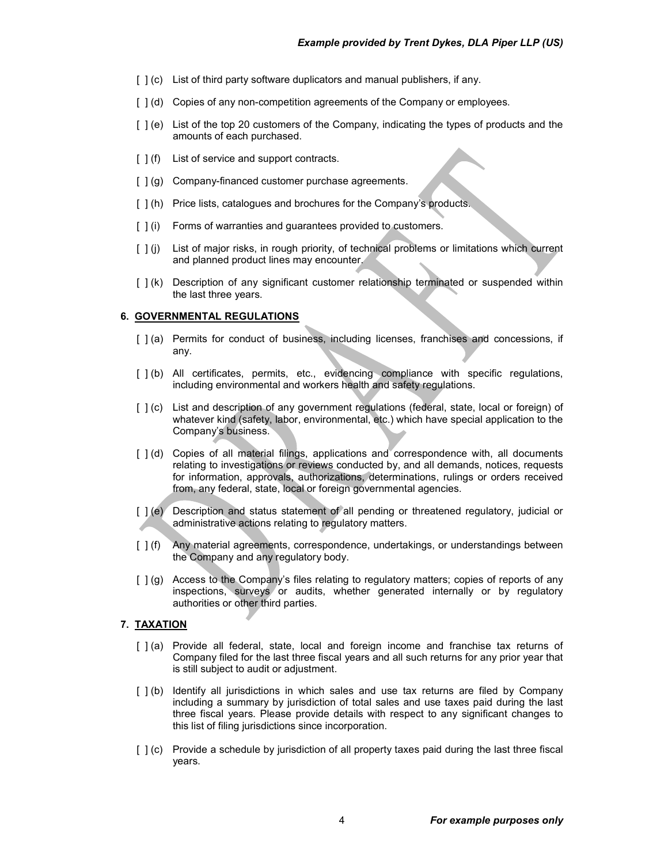- [ ] (c) List of third party software duplicators and manual publishers, if any.
- [ ] (d) Copies of any non-competition agreements of the Company or employees.
- [  $|$  (e) List of the top 20 customers of the Company, indicating the types of products and the amounts of each purchased.
- [  $|$  (f) List of service and support contracts.
- [  $|$  (g) Company-financed customer purchase agreements.
- [ ] (h) Price lists, catalogues and brochures for the Company's products.
- [ ] (i) Forms of warranties and guarantees provided to customers.
- [ ] (j) List of major risks, in rough priority, of technical problems or limitations which current and planned product lines may encounter.
- [ ] (k) Description of any significant customer relationship terminated or suspended within the last three years.

#### **6. GOVERNMENTAL REGULATIONS**

- [ ] (a) Permits for conduct of business, including licenses, franchises and concessions, if any.
- [  $|$  (b) All certificates, permits, etc., evidencing compliance with specific regulations, including environmental and workers health and safety regulations.
- [  $|$  (c) List and description of any government regulations (federal, state, local or foreign) of whatever kind (safety, labor, environmental, etc.) which have special application to the Company's business.
- [ ] (d) Copies of all material filings, applications and correspondence with, all documents relating to investigations or reviews conducted by, and all demands, notices, requests for information, approvals, authorizations, determinations, rulings or orders received from, any federal, state, local or foreign governmental agencies.
- [  $|$  (e) Description and status statement of all pending or threatened regulatory, judicial or administrative actions relating to regulatory matters.
- [ ] (f) Any material agreements, correspondence, undertakings, or understandings between the Company and any regulatory body.
- [ ] (g) Access to the Company's files relating to regulatory matters; copies of reports of any inspections, surveys or audits, whether generated internally or by regulatory authorities or other third parties.

### **7. TAXATION**

- [ ] (a) Provide all federal, state, local and foreign income and franchise tax returns of Company filed for the last three fiscal years and all such returns for any prior year that is still subject to audit or adjustment.
- [ ] (b) Identify all jurisdictions in which sales and use tax returns are filed by Company including a summary by jurisdiction of total sales and use taxes paid during the last three fiscal years. Please provide details with respect to any significant changes to this list of filing jurisdictions since incorporation.
- [  $1(c)$  Provide a schedule by jurisdiction of all property taxes paid during the last three fiscal years.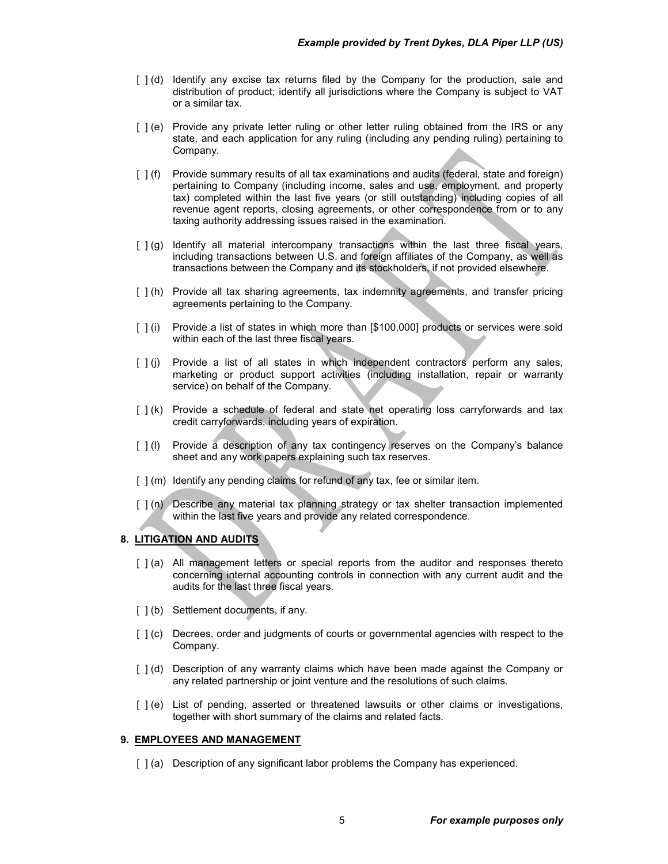- [ ] (d) Identify any excise tax returns filed by the Company for the production, sale and distribution of product; identify all jurisdictions where the Company is subject to VAT or a similar tax.
- [ ] (e) Provide any private letter ruling or other letter ruling obtained from the IRS or any state, and each application for any ruling (including any pending ruling) pertaining to Company.
- [ ] (f) Provide summary results of all tax examinations and audits (federal, state and foreign) pertaining to Company (including income, sales and use, employment, and property tax) completed within the last five years (or still outstanding) including copies of all revenue agent reports, closing agreements, or other correspondence from or to any taxing authority addressing issues raised in the examination.
- [ ] (g) Identify all material intercompany transactions within the last three fiscal years, including transactions between U.S. and foreign affiliates of the Company, as well as transactions between the Company and its stockholders, if not provided elsewhere.
- [ ] (h) Provide all tax sharing agreements, tax indemnity agreements, and transfer pricing agreements pertaining to the Company.
- [ ] (i) Provide a list of states in which more than [\$100,000] products or services were sold within each of the last three fiscal years.
- [ ] (j) Provide a list of all states in which independent contractors perform any sales, marketing or product support activities (including installation, repair or warranty service) on behalf of the Company.
- [ ] (k) Provide a schedule of federal and state net operating loss carryforwards and tax credit carryforwards, including years of expiration.
- [  $|$  (l) Provide a description of any tax contingency reserves on the Company's balance sheet and any work papers explaining such tax reserves.
- [ ] (m) Identify any pending claims for refund of any tax, fee or similar item.
- [ ] (n) Describe any material tax planning strategy or tax shelter transaction implemented within the last five years and provide any related correspondence.

# **8. LITIGATION AND AUDITS**

- [ ] (a) All management letters or special reports from the auditor and responses thereto concerning internal accounting controls in connection with any current audit and the audits for the last three fiscal years.
- [  $|$  (b) Settlement documents, if any.
- [  $|$  (c) Decrees, order and judgments of courts or governmental agencies with respect to the Company.
- [ ] (d) Description of any warranty claims which have been made against the Company or any related partnership or joint venture and the resolutions of such claims.
- [ ] (e) List of pending, asserted or threatened lawsuits or other claims or investigations, together with short summary of the claims and related facts.

### **9. EMPLOYEES AND MANAGEMENT**

[ ] (a) Description of any significant labor problems the Company has experienced.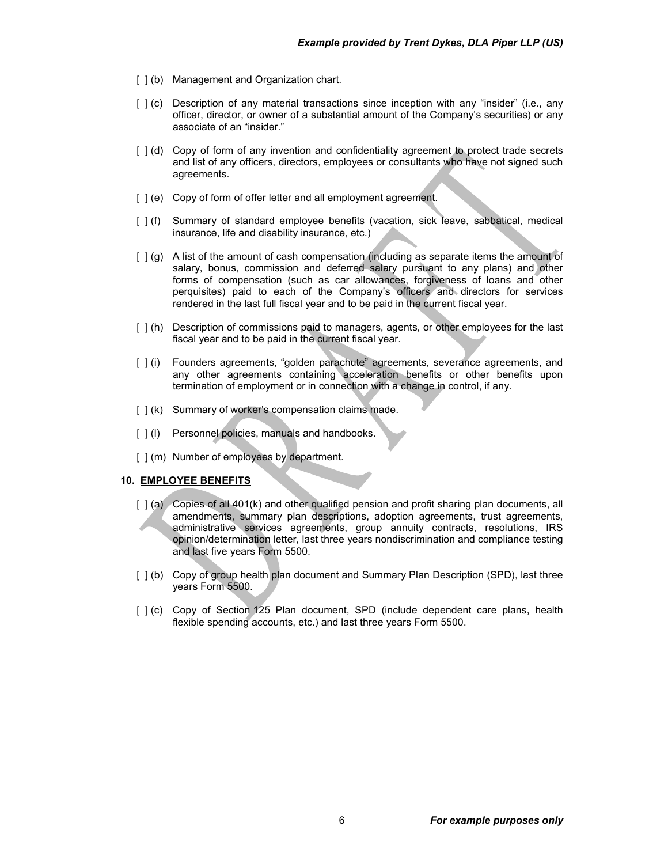- [  $|$  (b) Management and Organization chart.
- [  $|$  (c) Description of any material transactions since inception with any "insider" (i.e., any officer, director, or owner of a substantial amount of the Company's securities) or any associate of an "insider."
- [ ] (d) Copy of form of any invention and confidentiality agreement to protect trade secrets and list of any officers, directors, employees or consultants who have not signed such agreements.
- [ ] (e) Copy of form of offer letter and all employment agreement.
- [ ] (f) Summary of standard employee benefits (vacation, sick leave, sabbatical, medical insurance, life and disability insurance, etc.)
- [ ] (g) A list of the amount of cash compensation (including as separate items the amount of salary, bonus, commission and deferred salary pursuant to any plans) and other forms of compensation (such as car allowances, forgiveness of loans and other perquisites) paid to each of the Company's officers and directors for services rendered in the last full fiscal year and to be paid in the current fiscal year.
- [  $|$  (h) Description of commissions paid to managers, agents, or other employees for the last fiscal year and to be paid in the current fiscal year.
- [  $|$  (i) Founders agreements, "golden parachute" agreements, severance agreements, and any other agreements containing acceleration benefits or other benefits upon termination of employment or in connection with a change in control, if any.
- [  $| (k)$  Summary of worker's compensation claims made.
- [  $|$  (l) Personnel policies, manuals and handbooks.
- [  $|$  (m) Number of employees by department.

#### **10. EMPLOYEE BENEFITS**

- [ ] (a) Copies of all 401(k) and other qualified pension and profit sharing plan documents, all amendments, summary plan descriptions, adoption agreements, trust agreements, administrative services agreements, group annuity contracts, resolutions, IRS opinion/determination letter, last three years nondiscrimination and compliance testing and last five years Form 5500.
- [ ] (b) Copy of group health plan document and Summary Plan Description (SPD), last three years Form 5500.
- [ ] (c) Copy of Section 125 Plan document, SPD (include dependent care plans, health flexible spending accounts, etc.) and last three years Form 5500.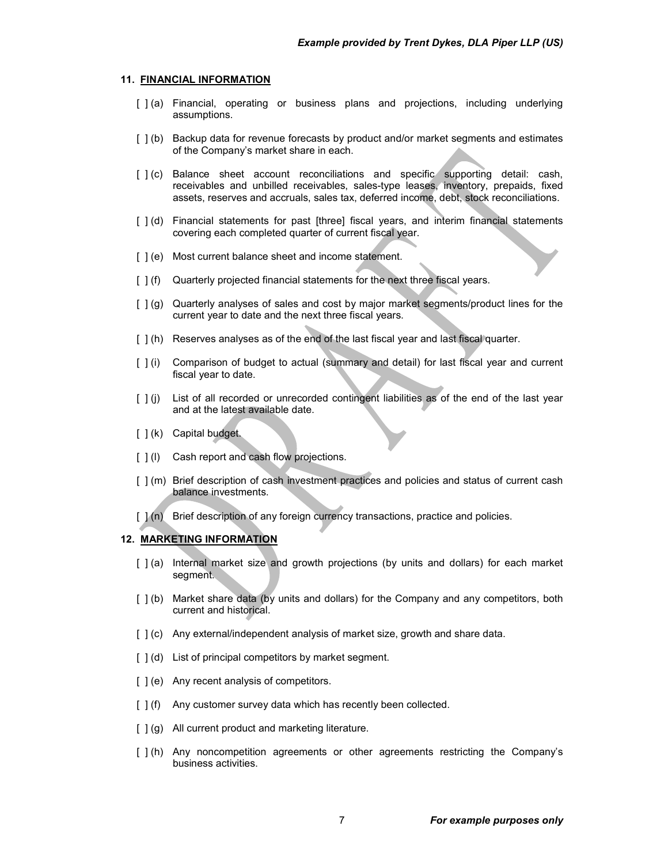#### **11. FINANCIAL INFORMATION**

- [ ] (a) Financial, operating or business plans and projections, including underlying assumptions.
- [ ] (b) Backup data for revenue forecasts by product and/or market segments and estimates of the Company's market share in each.
- [ ] (c) Balance sheet account reconciliations and specific supporting detail: cash, receivables and unbilled receivables, sales-type leases, inventory, prepaids, fixed assets, reserves and accruals, sales tax, deferred income, debt, stock reconciliations.
- [ ] (d) Financial statements for past [three] fiscal years, and interim financial statements covering each completed quarter of current fiscal year.
- [] (e) Most current balance sheet and income statement.
- [ ] (f) Quarterly projected financial statements for the next three fiscal years.
- [ ] (g) Quarterly analyses of sales and cost by major market segments/product lines for the current year to date and the next three fiscal years.
- [ ] (h) Reserves analyses as of the end of the last fiscal year and last fiscal quarter.
- [ ] (i) Comparison of budget to actual (summary and detail) for last fiscal year and current fiscal year to date.
- [ ] (j) List of all recorded or unrecorded contingent liabilities as of the end of the last year and at the latest available date.
- [ ] (k) Capital budget.
- [  $|$  (l) Cash report and cash flow projections.
- [ ] (m) Brief description of cash investment practices and policies and status of current cash balance investments.
- [  $1(n)$  Brief description of any foreign currency transactions, practice and policies.

# **12. MARKETING INFORMATION**

- [ ] (a) Internal market size and growth projections (by units and dollars) for each market segment.
- [ ] (b) Market share data (by units and dollars) for the Company and any competitors, both current and historical.
- [  $|$  (c) Any external/independent analysis of market size, growth and share data.
- [  $| (d)$  List of principal competitors by market segment.
- [ ] (e) Any recent analysis of competitors.
- [ ] (f) Any customer survey data which has recently been collected.
- $\lceil \cdot \rceil$  (g) All current product and marketing literature.
- [ ] (h) Any noncompetition agreements or other agreements restricting the Company's business activities.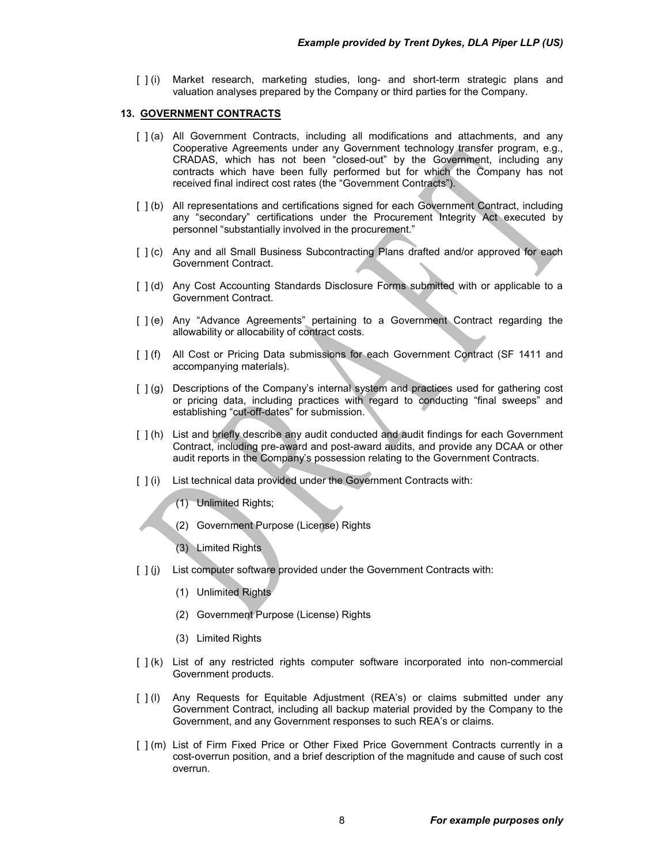[ ] (i) Market research, marketing studies, long- and short-term strategic plans and valuation analyses prepared by the Company or third parties for the Company.

## **13. GOVERNMENT CONTRACTS**

- [ ] (a) All Government Contracts, including all modifications and attachments, and any Cooperative Agreements under any Government technology transfer program, e.g., CRADAS, which has not been "closed-out" by the Government, including any contracts which have been fully performed but for which the Company has not received final indirect cost rates (the "Government Contracts").
- [  $|$  (b) All representations and certifications signed for each Government Contract, including any "secondary" certifications under the Procurement Integrity Act executed by personnel "substantially involved in the procurement."
- [ ] (c) Any and all Small Business Subcontracting Plans drafted and/or approved for each Government Contract.
- [ ] (d) Any Cost Accounting Standards Disclosure Forms submitted with or applicable to a Government Contract.
- [ ] (e) Any "Advance Agreements" pertaining to a Government Contract regarding the allowability or allocability of contract costs.
- [ ] (f) All Cost or Pricing Data submissions for each Government Contract (SF 1411 and accompanying materials).
- [  $| (g)$  Descriptions of the Company's internal system and practices used for gathering cost or pricing data, including practices with regard to conducting "final sweeps" and establishing "cut-off-dates" for submission.
- [ ] (h) List and briefly describe any audit conducted and audit findings for each Government Contract, including pre-award and post-award audits, and provide any DCAA or other audit reports in the Company's possession relating to the Government Contracts.
- [ ] (i) List technical data provided under the Government Contracts with:
	- (1) Unlimited Rights;
	- (2) Government Purpose (License) Rights
	- (3) Limited Rights
- [ ] (j) List computer software provided under the Government Contracts with:
	- (1) Unlimited Rights
	- (2) Government Purpose (License) Rights
	- (3) Limited Rights
- [ ] (k) List of any restricted rights computer software incorporated into non-commercial Government products.
- [ ] (I) Any Requests for Equitable Adjustment (REA's) or claims submitted under any Government Contract, including all backup material provided by the Company to the Government, and any Government responses to such REA's or claims.
- [ ] (m) List of Firm Fixed Price or Other Fixed Price Government Contracts currently in a cost-overrun position, and a brief description of the magnitude and cause of such cost overrun.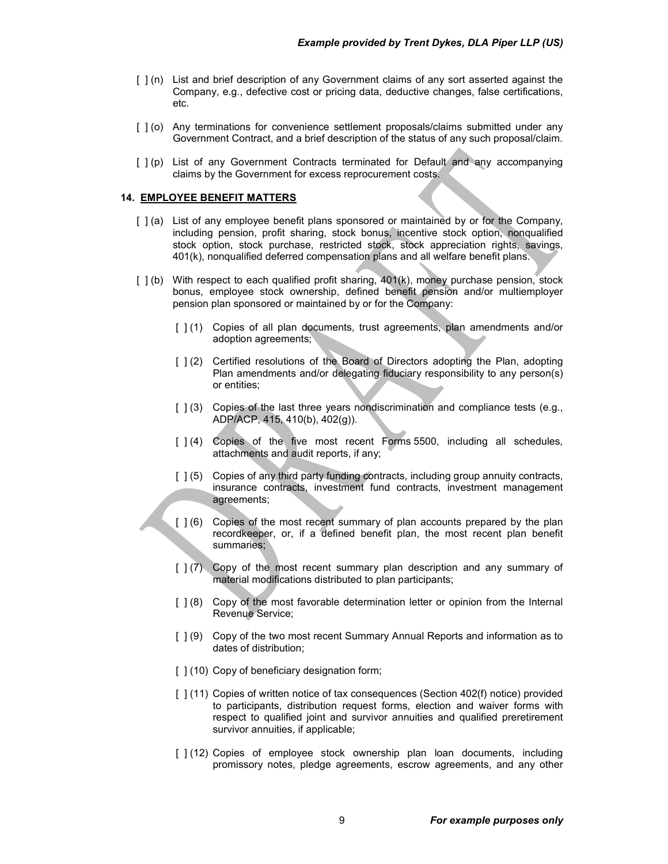- [ ] (n) List and brief description of any Government claims of any sort asserted against the Company, e.g., defective cost or pricing data, deductive changes, false certifications, etc.
- [ ] (o) Any terminations for convenience settlement proposals/claims submitted under any Government Contract, and a brief description of the status of any such proposal/claim.
- [ ] (p) List of any Government Contracts terminated for Default and any accompanying claims by the Government for excess reprocurement costs.

## **14. EMPLOYEE BENEFIT MATTERS**

- [ ] (a) List of any employee benefit plans sponsored or maintained by or for the Company, including pension, profit sharing, stock bonus, incentive stock option, nonqualified stock option, stock purchase, restricted stock, stock appreciation rights, savings, 401(k), nonqualified deferred compensation plans and all welfare benefit plans.
- [ ] (b) With respect to each qualified profit sharing, 401(k), money purchase pension, stock bonus, employee stock ownership, defined benefit pension and/or multiemployer pension plan sponsored or maintained by or for the Company:
	- [ ] (1) Copies of all plan documents, trust agreements, plan amendments and/or adoption agreements;
	- [ ] (2) Certified resolutions of the Board of Directors adopting the Plan, adopting Plan amendments and/or delegating fiduciary responsibility to any person(s) or entities;
	- [  $| (3)$  Copies of the last three years nondiscrimination and compliance tests (e.g., ADP/ACP, 415, 410(b), 402(g)).
	- [ ] (4) Copies of the five most recent Forms 5500, including all schedules, attachments and audit reports, if any;
	- [ ] (5) Copies of any third party funding contracts, including group annuity contracts, insurance contracts, investment fund contracts, investment management agreements;
	- [ ] (6) Copies of the most recent summary of plan accounts prepared by the plan recordkeeper, or, if a defined benefit plan, the most recent plan benefit summaries;
	- [ ] (7) Copy of the most recent summary plan description and any summary of material modifications distributed to plan participants;
	- [ ] (8) Copy of the most favorable determination letter or opinion from the Internal Revenue Service;
	- [ ] (9) Copy of the two most recent Summary Annual Reports and information as to dates of distribution;
	- [  $(10)$  Copy of beneficiary designation form;
	- [ ] (11) Copies of written notice of tax consequences (Section 402(f) notice) provided to participants, distribution request forms, election and waiver forms with respect to qualified joint and survivor annuities and qualified preretirement survivor annuities, if applicable;
	- [ ] (12) Copies of employee stock ownership plan loan documents, including promissory notes, pledge agreements, escrow agreements, and any other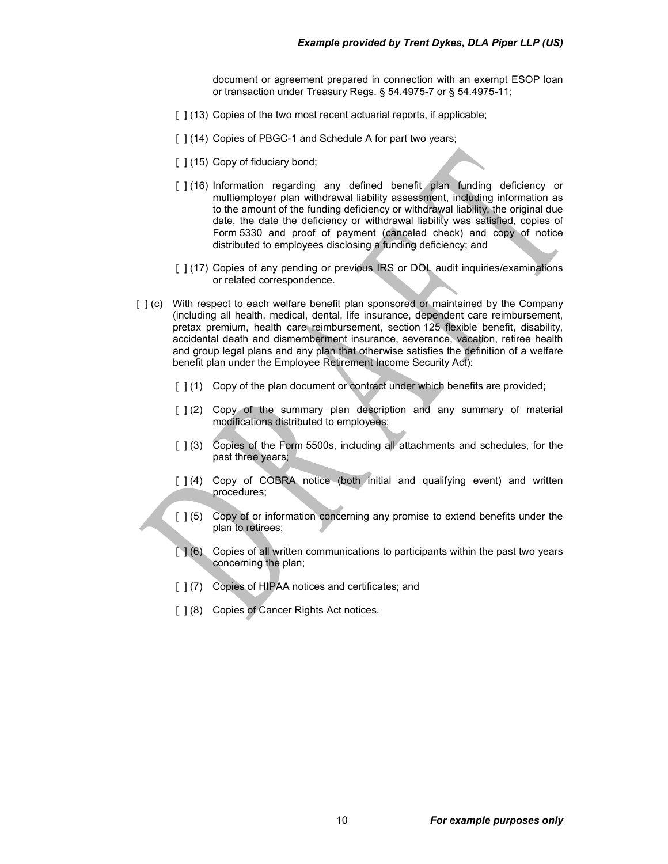document or agreement prepared in connection with an exempt ESOP loan or transaction under Treasury Regs. § 54.4975-7 or § 54.4975-11;

- [  $(13)$  Copies of the two most recent actuarial reports, if applicable;
- [  $1(14)$  Copies of PBGC-1 and Schedule A for part two years;
- [ ] (15) Copy of fiduciary bond;
- [ ] (16) Information regarding any defined benefit plan funding deficiency or multiemployer plan withdrawal liability assessment, including information as to the amount of the funding deficiency or withdrawal liability, the original due date, the date the deficiency or withdrawal liability was satisfied, copies of Form 5330 and proof of payment (canceled check) and copy of notice distributed to employees disclosing a funding deficiency; and
- [ ] (17) Copies of any pending or previous IRS or DOL audit inquiries/examinations or related correspondence.
- [  $|$  (c) With respect to each welfare benefit plan sponsored or maintained by the Company (including all health, medical, dental, life insurance, dependent care reimbursement, pretax premium, health care reimbursement, section 125 flexible benefit, disability, accidental death and dismemberment insurance, severance, vacation, retiree health and group legal plans and any plan that otherwise satisfies the definition of a welfare benefit plan under the Employee Retirement Income Security Act):
	- [  $1(1)$  Copy of the plan document or contract under which benefits are provided;
	- [ ] (2) Copy of the summary plan description and any summary of material modifications distributed to employees;
	- [  $| (3)$  Copies of the Form 5500s, including all attachments and schedules, for the past three years;
	- [ ] (4) Copy of COBRA notice (both initial and qualifying event) and written procedures;
	- [ ] (5) Copy of or information concerning any promise to extend benefits under the plan to retirees;
	- $[$   $]$  (6) Copies of all written communications to participants within the past two years concerning the plan;
	- [ ] (7) Copies of HIPAA notices and certificates; and
	- [ ] (8) Copies of Cancer Rights Act notices.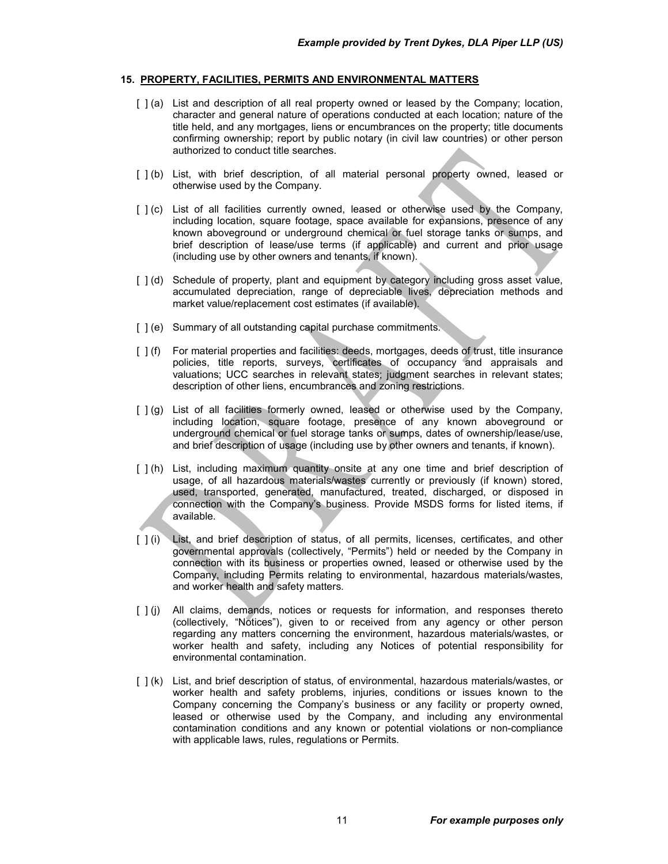#### **15. PROPERTY, FACILITIES, PERMITS AND ENVIRONMENTAL MATTERS**

- [ ] (a) List and description of all real property owned or leased by the Company; location, character and general nature of operations conducted at each location; nature of the title held, and any mortgages, liens or encumbrances on the property; title documents confirming ownership; report by public notary (in civil law countries) or other person authorized to conduct title searches.
- [ ] (b) List, with brief description, of all material personal property owned, leased or otherwise used by the Company.
- [ ] (c) List of all facilities currently owned, leased or otherwise used by the Company, including location, square footage, space available for expansions, presence of any known aboveground or underground chemical or fuel storage tanks or sumps, and brief description of lease/use terms (if applicable) and current and prior usage (including use by other owners and tenants, if known).
- [  $j$  (d) Schedule of property, plant and equipment by category including gross asset value, accumulated depreciation, range of depreciable lives, depreciation methods and market value/replacement cost estimates (if available).
- [ ] (e) Summary of all outstanding capital purchase commitments.
- [ ] (f) For material properties and facilities: deeds, mortgages, deeds of trust, title insurance policies, title reports, surveys, certificates of occupancy and appraisals and valuations; UCC searches in relevant states; judgment searches in relevant states; description of other liens, encumbrances and zoning restrictions.
- $[ ( ] ( g ) ]$  List of all facilities formerly owned, leased or otherwise used by the Company, including location, square footage, presence of any known aboveground or underground chemical or fuel storage tanks or sumps, dates of ownership/lease/use, and brief description of usage (including use by other owners and tenants, if known).
- [ ] (h) List, including maximum quantity onsite at any one time and brief description of usage, of all hazardous materials/wastes currently or previously (if known) stored, used, transported, generated, manufactured, treated, discharged, or disposed in connection with the Company's business. Provide MSDS forms for listed items, if available.
- [ ] (i) List, and brief description of status, of all permits, licenses, certificates, and other governmental approvals (collectively, "Permits") held or needed by the Company in connection with its business or properties owned, leased or otherwise used by the Company, including Permits relating to environmental, hazardous materials/wastes, and worker health and safety matters.
- [  $|$  (i) All claims, demands, notices or requests for information, and responses thereto (collectively, "Notices"), given to or received from any agency or other person regarding any matters concerning the environment, hazardous materials/wastes, or worker health and safety, including any Notices of potential responsibility for environmental contamination.
- [ ] (k) List, and brief description of status, of environmental, hazardous materials/wastes, or worker health and safety problems, injuries, conditions or issues known to the Company concerning the Company's business or any facility or property owned, leased or otherwise used by the Company, and including any environmental contamination conditions and any known or potential violations or non-compliance with applicable laws, rules, regulations or Permits.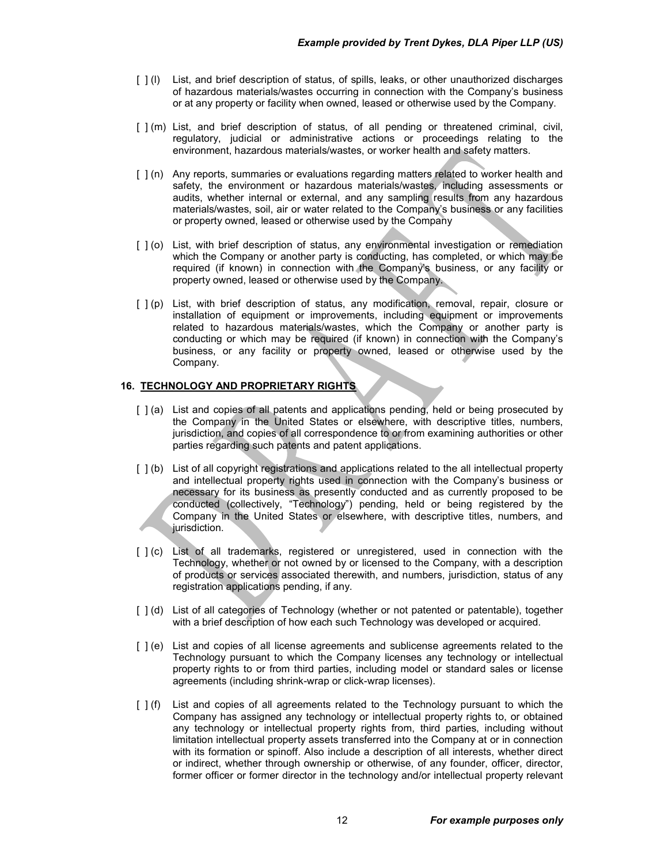- [ ] (I) List, and brief description of status, of spills, leaks, or other unauthorized discharges of hazardous materials/wastes occurring in connection with the Company's business or at any property or facility when owned, leased or otherwise used by the Company.
- [ ] (m) List, and brief description of status, of all pending or threatened criminal, civil, regulatory, judicial or administrative actions or proceedings relating to the environment, hazardous materials/wastes, or worker health and safety matters.
- [ ] (n) Any reports, summaries or evaluations regarding matters related to worker health and safety, the environment or hazardous materials/wastes, including assessments or audits, whether internal or external, and any sampling results from any hazardous materials/wastes, soil, air or water related to the Company's business or any facilities or property owned, leased or otherwise used by the Company
- [ ] (o) List, with brief description of status, any environmental investigation or remediation which the Company or another party is conducting, has completed, or which may be required (if known) in connection with the Company's business, or any facility or property owned, leased or otherwise used by the Company.
- [ ] (p) List, with brief description of status, any modification, removal, repair, closure or installation of equipment or improvements, including equipment or improvements related to hazardous materials/wastes, which the Company or another party is conducting or which may be required (if known) in connection with the Company's business, or any facility or property owned, leased or otherwise used by the Company.

# **16. TECHNOLOGY AND PROPRIETARY RIGHTS**

- [ ] (a) List and copies of all patents and applications pending, held or being prosecuted by the Company in the United States or elsewhere, with descriptive titles, numbers, jurisdiction, and copies of all correspondence to or from examining authorities or other parties regarding such patents and patent applications.
- [ ] (b) List of all copyright registrations and applications related to the all intellectual property and intellectual property rights used in connection with the Company's business or necessary for its business as presently conducted and as currently proposed to be conducted (collectively, "Technology") pending, held or being registered by the Company in the United States or elsewhere, with descriptive titles, numbers, and jurisdiction.
- [ ] (c) List of all trademarks, registered or unregistered, used in connection with the Technology, whether or not owned by or licensed to the Company, with a description of products or services associated therewith, and numbers, jurisdiction, status of any registration applications pending, if any.
- [ ] (d) List of all categories of Technology (whether or not patented or patentable), together with a brief description of how each such Technology was developed or acquired.
- [ ] (e) List and copies of all license agreements and sublicense agreements related to the Technology pursuant to which the Company licenses any technology or intellectual property rights to or from third parties, including model or standard sales or license agreements (including shrink-wrap or click-wrap licenses).
- [ ] (f) List and copies of all agreements related to the Technology pursuant to which the Company has assigned any technology or intellectual property rights to, or obtained any technology or intellectual property rights from, third parties, including without limitation intellectual property assets transferred into the Company at or in connection with its formation or spinoff. Also include a description of all interests, whether direct or indirect, whether through ownership or otherwise, of any founder, officer, director, former officer or former director in the technology and/or intellectual property relevant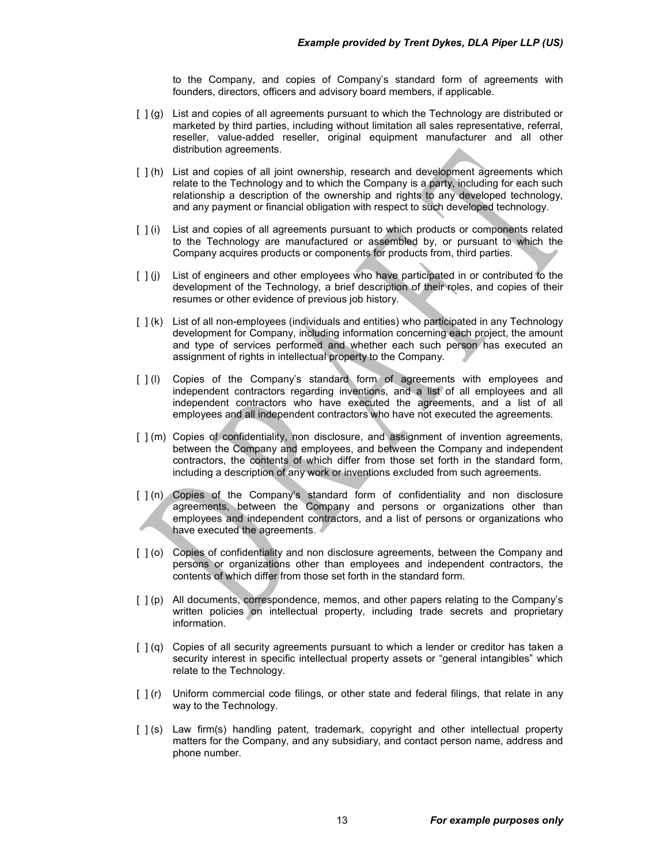to the Company, and copies of Company's standard form of agreements with founders, directors, officers and advisory board members, if applicable.

- [ ] (g) List and copies of all agreements pursuant to which the Technology are distributed or marketed by third parties, including without limitation all sales representative, referral, reseller, value-added reseller, original equipment manufacturer and all other distribution agreements.
- [ ] (h) List and copies of all joint ownership, research and development agreements which relate to the Technology and to which the Company is a party, including for each such relationship a description of the ownership and rights to any developed technology, and any payment or financial obligation with respect to such developed technology.
- [ ] (i) List and copies of all agreements pursuant to which products or components related to the Technology are manufactured or assembled by, or pursuant to which the Company acquires products or components for products from, third parties.
- [ ] (j) List of engineers and other employees who have participated in or contributed to the development of the Technology, a brief description of their roles, and copies of their resumes or other evidence of previous job history.
- [ ] (k) List of all non-employees (individuals and entities) who participated in any Technology development for Company, including information concerning each project, the amount and type of services performed and whether each such person has executed an assignment of rights in intellectual property to the Company.
- [ ] (I) Copies of the Company's standard form of agreements with employees and independent contractors regarding inventions, and a list of all employees and all independent contractors who have executed the agreements, and a list of all employees and all independent contractors who have not executed the agreements.
- [ ] (m) Copies of confidentiality, non disclosure, and assignment of invention agreements, between the Company and employees, and between the Company and independent contractors, the contents of which differ from those set forth in the standard form, including a description of any work or inventions excluded from such agreements.
- [ $| (n)$  Copies of the Company's standard form of confidentiality and non disclosure agreements, between the Company and persons or organizations other than employees and independent contractors, and a list of persons or organizations who have executed the agreements.
- [ ] (o) Copies of confidentiality and non disclosure agreements, between the Company and persons or organizations other than employees and independent contractors, the contents of which differ from those set forth in the standard form.
- [ ] (p) All documents, correspondence, memos, and other papers relating to the Company's written policies on intellectual property, including trade secrets and proprietary information.
- [ ] (q) Copies of all security agreements pursuant to which a lender or creditor has taken a security interest in specific intellectual property assets or "general intangibles" which relate to the Technology.
- [ ] (r) Uniform commercial code filings, or other state and federal filings, that relate in any way to the Technology.
- [ ] (s) Law firm(s) handling patent, trademark, copyright and other intellectual property matters for the Company, and any subsidiary, and contact person name, address and phone number.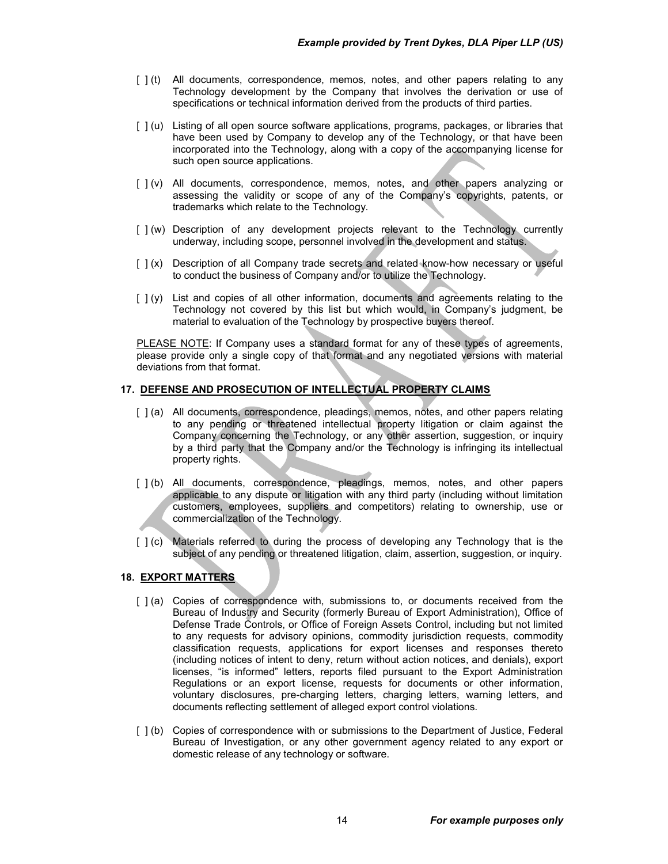- [ ] (t) All documents, correspondence, memos, notes, and other papers relating to any Technology development by the Company that involves the derivation or use of specifications or technical information derived from the products of third parties.
- [ ] (u) Listing of all open source software applications, programs, packages, or libraries that have been used by Company to develop any of the Technology, or that have been incorporated into the Technology, along with a copy of the accompanying license for such open source applications.
- [ ] (v) All documents, correspondence, memos, notes, and other papers analyzing or assessing the validity or scope of any of the Company's copyrights, patents, or trademarks which relate to the Technology.
- [ ] (w) Description of any development projects relevant to the Technology currently underway, including scope, personnel involved in the development and status.
- [ ] (x) Description of all Company trade secrets and related know-how necessary or useful to conduct the business of Company and/or to utilize the Technology.
- $\lceil \cdot \rceil$  (y) List and copies of all other information, documents and agreements relating to the Technology not covered by this list but which would, in Company's judgment, be material to evaluation of the Technology by prospective buyers thereof.

PLEASE NOTE: If Company uses a standard format for any of these types of agreements, please provide only a single copy of that format and any negotiated versions with material deviations from that format.

# **17. DEFENSE AND PROSECUTION OF INTELLECTUAL PROPERTY CLAIMS**

- [ ] (a) All documents, correspondence, pleadings, memos, notes, and other papers relating to any pending or threatened intellectual property litigation or claim against the Company concerning the Technology, or any other assertion, suggestion, or inquiry by a third party that the Company and/or the Technology is infringing its intellectual property rights.
- [ ] (b) All documents, correspondence, pleadings, memos, notes, and other papers applicable to any dispute or litigation with any third party (including without limitation customers, employees, suppliers and competitors) relating to ownership, use or commercialization of the Technology.
- [ ] (c) Materials referred to during the process of developing any Technology that is the subject of any pending or threatened litigation, claim, assertion, suggestion, or inquiry.

# **18. EXPORT MATTERS**

- [ ] (a) Copies of correspondence with, submissions to, or documents received from the Bureau of Industry and Security (formerly Bureau of Export Administration), Office of Defense Trade Controls, or Office of Foreign Assets Control, including but not limited to any requests for advisory opinions, commodity jurisdiction requests, commodity classification requests, applications for export licenses and responses thereto (including notices of intent to deny, return without action notices, and denials), export licenses, "is informed" letters, reports filed pursuant to the Export Administration Regulations or an export license, requests for documents or other information, voluntary disclosures, pre-charging letters, charging letters, warning letters, and documents reflecting settlement of alleged export control violations.
- [  $1(b)$  Copies of correspondence with or submissions to the Department of Justice, Federal Bureau of Investigation, or any other government agency related to any export or domestic release of any technology or software.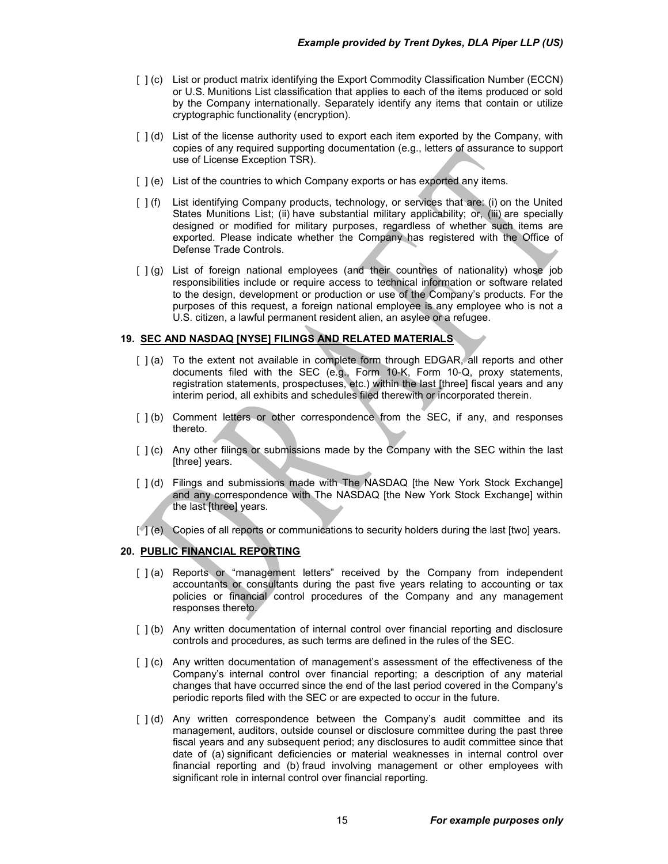- [ ] (c) List or product matrix identifying the Export Commodity Classification Number (ECCN) or U.S. Munitions List classification that applies to each of the items produced or sold by the Company internationally. Separately identify any items that contain or utilize cryptographic functionality (encryption).
- [ ] (d) List of the license authority used to export each item exported by the Company, with copies of any required supporting documentation (e.g., letters of assurance to support use of License Exception TSR).
- [ ] (e) List of the countries to which Company exports or has exported any items.
- [ ] (f) List identifying Company products, technology, or services that are: (i) on the United States Munitions List; (ii) have substantial military applicability; or, (iii) are specially designed or modified for military purposes, regardless of whether such items are exported. Please indicate whether the Company has registered with the Office of Defense Trade Controls.
- [ ] (g) List of foreign national employees (and their countries of nationality) whose job responsibilities include or require access to technical information or software related to the design, development or production or use of the Company's products. For the purposes of this request, a foreign national employee is any employee who is not a U.S. citizen, a lawful permanent resident alien, an asylee or a refugee.

# **19. SEC AND NASDAQ [NYSE] FILINGS AND RELATED MATERIALS**

- [ ] (a) To the extent not available in complete form through EDGAR, all reports and other documents filed with the SEC (e.g., Form 10-K, Form 10-Q, proxy statements, registration statements, prospectuses, etc.) within the last [three] fiscal years and any interim period, all exhibits and schedules filed therewith or incorporated therein.
- [  $|$  (b) Comment letters or other correspondence from the SEC, if any, and responses thereto.
- [ ] (c) Any other filings or submissions made by the Company with the SEC within the last [three] years.
- [ ] (d) Filings and submissions made with The NASDAQ [the New York Stock Exchange] and any correspondence with The NASDAQ [the New York Stock Exchange] within the last [three] years.
- [1] (e) Copies of all reports or communications to security holders during the last [two] years.

# **20. PUBLIC FINANCIAL REPORTING**

- [ ] (a) Reports or "management letters" received by the Company from independent accountants or consultants during the past five years relating to accounting or tax policies or financial control procedures of the Company and any management responses thereto.
- [  $|$  (b) Any written documentation of internal control over financial reporting and disclosure controls and procedures, as such terms are defined in the rules of the SEC.
- [  $|$  (c) Any written documentation of management's assessment of the effectiveness of the Company's internal control over financial reporting; a description of any material changes that have occurred since the end of the last period covered in the Company's periodic reports filed with the SEC or are expected to occur in the future.
- [ ] (d) Any written correspondence between the Company's audit committee and its management, auditors, outside counsel or disclosure committee during the past three fiscal years and any subsequent period; any disclosures to audit committee since that date of (a) significant deficiencies or material weaknesses in internal control over financial reporting and (b) fraud involving management or other employees with significant role in internal control over financial reporting.